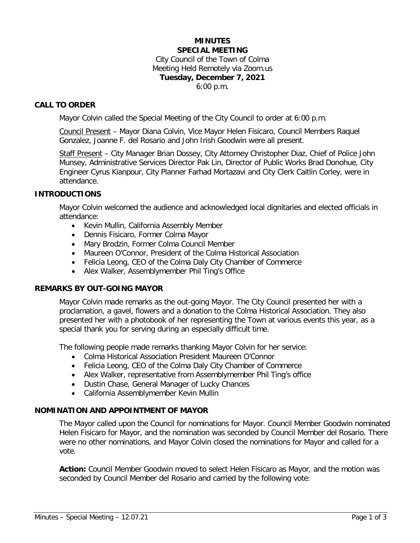### **MINUTES SPECIAL MEETING**

City Council of the Town of Colma Meeting Held Remotely via Zoom.us **Tuesday, December 7, 2021** 6:00 p.m.

### **CALL TO ORDER**

Mayor Colvin called the Special Meeting of the City Council to order at 6:00 p.m.

Council Present – Mayor Diana Colvin, Vice Mayor Helen Fisicaro, Council Members Raquel Gonzalez, Joanne F. del Rosario and John Irish Goodwin were all present.

Staff Present – City Manager Brian Dossey, City Attorney Christopher Diaz, Chief of Police John Munsey, Administrative Services Director Pak Lin, Director of Public Works Brad Donohue, City Engineer Cyrus Kianpour, City Planner Farhad Mortazavi and City Clerk Caitlin Corley, were in attendance.

### **INTRODUCTIONS**

Mayor Colvin welcomed the audience and acknowledged local dignitaries and elected officials in attendance:

- Kevin Mullin, California Assembly Member
- Dennis Fisicaro, Former Colma Mayor
- Mary Brodzin, Former Colma Council Member
- Maureen O'Connor, President of the Colma Historical Association
- Felicia Leong, CEO of the Colma Daly City Chamber of Commerce
- Alex Walker, Assemblymember Phil Ting's Office

### **REMARKS BY OUT-GOING MAYOR**

Mayor Colvin made remarks as the out-going Mayor. The City Council presented her with a proclamation, a gavel, flowers and a donation to the Colma Historical Association. They also presented her with a photobook of her representing the Town at various events this year, as a special thank you for serving during an especially difficult time.

The following people made remarks thanking Mayor Colvin for her service:

- Colma Historical Association President Maureen O'Connor
- Felicia Leong, CEO of the Colma Daly City Chamber of Commerce
- Alex Walker, representative from Assemblymember Phil Ting's office
- Dustin Chase, General Manager of Lucky Chances
- California Assemblymember Kevin Mullin

### **NOMINATION AND APPOINTMENT OF MAYOR**

The Mayor called upon the Council for nominations for Mayor. Council Member Goodwin nominated Helen Fisicaro for Mayor, and the nomination was seconded by Council Member del Rosario. There were no other nominations, and Mayor Colvin closed the nominations for Mayor and called for a vote.

**Action:** Council Member Goodwin moved to select Helen Fisicaro as Mayor, and the motion was seconded by Council Member del Rosario and carried by the following vote: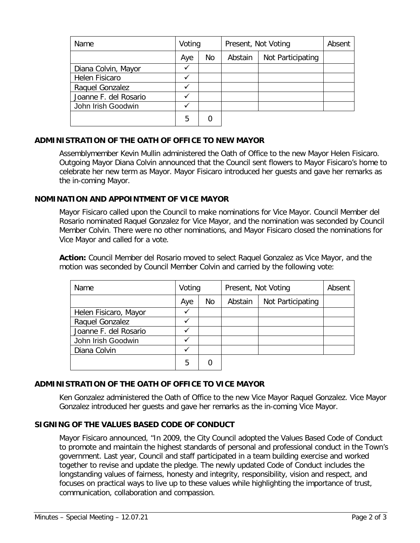| Name                  | Voting |    | Present, Not Voting |                   | Absent |
|-----------------------|--------|----|---------------------|-------------------|--------|
|                       | Aye    | No | Abstain             | Not Participating |        |
| Diana Colvin, Mayor   |        |    |                     |                   |        |
| Helen Fisicaro        |        |    |                     |                   |        |
| Raquel Gonzalez       |        |    |                     |                   |        |
| Joanne F. del Rosario |        |    |                     |                   |        |
| John Irish Goodwin    |        |    |                     |                   |        |
|                       | 5      | C  |                     |                   |        |

# **ADMINISTRATION OF THE OATH OF OFFICE TO NEW MAYOR**

Assemblymember Kevin Mullin administered the Oath of Office to the new Mayor Helen Fisicaro. Outgoing Mayor Diana Colvin announced that the Council sent flowers to Mayor Fisicaro's home to celebrate her new term as Mayor. Mayor Fisicaro introduced her guests and gave her remarks as the in-coming Mayor.

## **NOMINATION AND APPOINTMENT OF VICE MAYOR**

Mayor Fisicaro called upon the Council to make nominations for Vice Mayor. Council Member del Rosario nominated Raquel Gonzalez for Vice Mayor, and the nomination was seconded by Council Member Colvin. There were no other nominations, and Mayor Fisicaro closed the nominations for Vice Mayor and called for a vote.

**Action:** Council Member del Rosario moved to select Raquel Gonzalez as Vice Mayor, and the motion was seconded by Council Member Colvin and carried by the following vote:

| Name                  | Voting |    | Present, Not Voting |                   | Absent |
|-----------------------|--------|----|---------------------|-------------------|--------|
|                       | Aye    | No | Abstain             | Not Participating |        |
| Helen Fisicaro, Mayor |        |    |                     |                   |        |
| Raquel Gonzalez       |        |    |                     |                   |        |
| Joanne F. del Rosario |        |    |                     |                   |        |
| John Irish Goodwin    |        |    |                     |                   |        |
| Diana Colvin          |        |    |                     |                   |        |
|                       | 5      | 0  |                     |                   |        |

## **ADMINISTRATION OF THE OATH OF OFFICE TO VICE MAYOR**

Ken Gonzalez administered the Oath of Office to the new Vice Mayor Raquel Gonzalez. Vice Mayor Gonzalez introduced her guests and gave her remarks as the in-coming Vice Mayor.

## **SIGNING OF THE VALUES BASED CODE OF CONDUCT**

Mayor Fisicaro announced, "In 2009, the City Council adopted the Values Based Code of Conduct to promote and maintain the highest standards of personal and professional conduct in the Town's government. Last year, Council and staff participated in a team building exercise and worked together to revise and update the pledge. The newly updated Code of Conduct includes the longstanding values of fairness, honesty and integrity, responsibility, vision and respect, and focuses on practical ways to live up to these values while highlighting the importance of trust, communication, collaboration and compassion.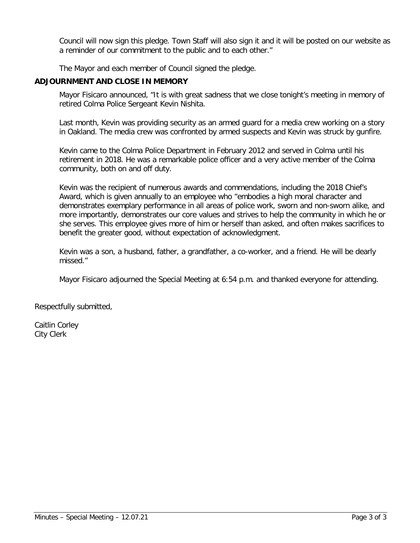Council will now sign this pledge. Town Staff will also sign it and it will be posted on our website as a reminder of our commitment to the public and to each other."

The Mayor and each member of Council signed the pledge.

# **ADJOURNMENT AND CLOSE IN MEMORY**

Mayor Fisicaro announced, "It is with great sadness that we close tonight's meeting in memory of retired Colma Police Sergeant Kevin Nishita.

Last month, Kevin was providing security as an armed guard for a media crew working on a story in Oakland. The media crew was confronted by armed suspects and Kevin was struck by gunfire.

Kevin came to the Colma Police Department in February 2012 and served in Colma until his retirement in 2018. He was a remarkable police officer and a very active member of the Colma community, both on and off duty.

Kevin was the recipient of numerous awards and commendations, including the 2018 Chief's Award, which is given annually to an employee who "embodies a high moral character and demonstrates exemplary performance in all areas of police work, sworn and non-sworn alike, and more importantly, demonstrates our core values and strives to help the community in which he or she serves. This employee gives more of him or herself than asked, and often makes sacrifices to benefit the greater good, without expectation of acknowledgment.

Kevin was a son, a husband, father, a grandfather, a co-worker, and a friend. He will be dearly missed."

Mayor Fisicaro adjourned the Special Meeting at 6:54 p.m. and thanked everyone for attending.

Respectfully submitted,

Caitlin Corley City Clerk